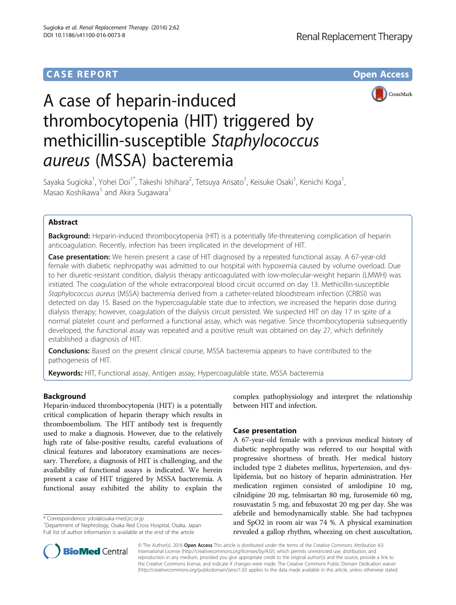# **CASE REPORT CASE REPORT CASE REPORT**



# A case of heparin-induced thrombocytopenia (HIT) triggered by methicillin-susceptible Staphylococcus aureus (MSSA) bacteremia

Sayaka Sugioka<sup>1</sup>, Yohei Doi<sup>1\*</sup>, Takeshi Ishihara<sup>2</sup>, Tetsuya Arisato<sup>1</sup>, Keisuke Osaki<sup>1</sup>, Kenichi Koga<sup>1</sup> , Masao Koshikawa<sup>1</sup> and Akira Sugawara<sup>1</sup>

# Abstract

Background: Heparin-induced thrombocytopenia (HIT) is a potentially life-threatening complication of heparin anticoagulation. Recently, infection has been implicated in the development of HIT.

Case presentation: We herein present a case of HIT diagnosed by a repeated functional assay. A 67-year-old female with diabetic nephropathy was admitted to our hospital with hypoxemia caused by volume overload. Due to her diuretic-resistant condition, dialysis therapy anticoagulated with low-molecular-weight heparin (LMWH) was initiated. The coagulation of the whole extracorporeal blood circuit occurred on day 13. Methicillin-susceptible Staphylococcus aureus (MSSA) bacteremia derived from a catheter-related bloodstream infection (CRBSI) was detected on day 15. Based on the hypercoagulable state due to infection, we increased the heparin dose during dialysis therapy; however, coagulation of the dialysis circuit persisted. We suspected HIT on day 17 in spite of a normal platelet count and performed a functional assay, which was negative. Since thrombocytopenia subsequently developed, the functional assay was repeated and a positive result was obtained on day 27, which definitely established a diagnosis of HIT.

**Conclusions:** Based on the present clinical course, MSSA bacteremia appears to have contributed to the pathogenesis of HIT.

Keywords: HIT, Functional assay, Antigen assay, Hypercoagulable state, MSSA bacteremia

# Background

Heparin-induced thrombocytopenia (HIT) is a potentially critical complication of heparin therapy which results in thromboembolism. The HIT antibody test is frequently used to make a diagnosis. However, due to the relatively high rate of false-positive results, careful evaluations of clinical features and laboratory examinations are necessary. Therefore, a diagnosis of HIT is challenging, and the availability of functional assays is indicated. We herein present a case of HIT triggered by MSSA bacteremia. A functional assay exhibited the ability to explain the

\* Correspondence: [ydoi@osaka-med.jrc.or.jp](mailto:ydoi@osaka-med.jrc.or.jp) <sup>1</sup>



# Case presentation

A 67-year-old female with a previous medical history of diabetic nephropathy was referred to our hospital with progressive shortness of breath. Her medical history included type 2 diabetes mellitus, hypertension, and dyslipidemia, but no history of heparin administration. Her medication regimen consisted of amlodipine 10 mg, cilnidipine 20 mg, telmisartan 80 mg, furosemide 60 mg, rosuvastatin 5 mg, and febuxostat 20 mg per day. She was afebrile and hemodynamically stable. She had tachypnea and SpO2 in room air was 74 %. A physical examination revealed a gallop rhythm, wheezing on chest auscultation,



© The Author(s). 2016 Open Access This article is distributed under the terms of the Creative Commons Attribution 4.0 International License [\(http://creativecommons.org/licenses/by/4.0/](http://creativecommons.org/licenses/by/4.0/)), which permits unrestricted use, distribution, and reproduction in any medium, provided you give appropriate credit to the original author(s) and the source, provide a link to the Creative Commons license, and indicate if changes were made. The Creative Commons Public Domain Dedication waiver [\(http://creativecommons.org/publicdomain/zero/1.0/](http://creativecommons.org/publicdomain/zero/1.0/)) applies to the data made available in this article, unless otherwise stated.

Department of Nephrology, Osaka Red Cross Hospital, Osaka, Japan Full list of author information is available at the end of the article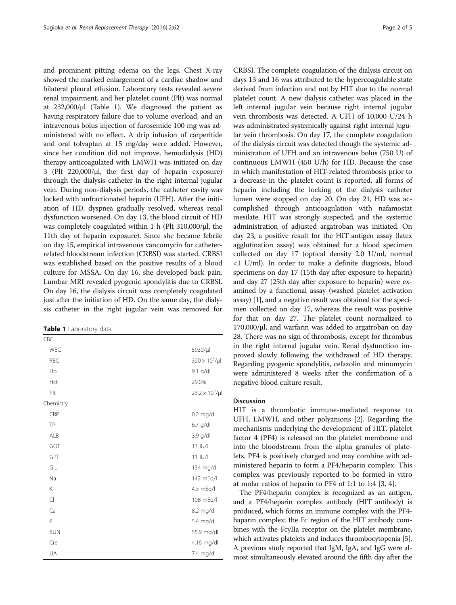and prominent pitting edema on the legs. Chest X-ray showed the marked enlargement of a cardiac shadow and bilateral pleural effusion. Laboratory tests revealed severe renal impairment, and her platelet count (Plt) was normal at 232,000/μl (Table 1). We diagnosed the patient as having respiratory failure due to volume overload, and an intravenous bolus injection of furosemide 100 mg was administered with no effect. A drip infusion of carperitide and oral tolvaptan at 15 mg/day were added. However, since her condition did not improve, hemodialysis (HD) therapy anticoagulated with LMWH was initiated on day 3 (Plt 220,000/μl, the first day of heparin exposure) through the dialysis catheter in the right internal jugular vein. During non-dialysis periods, the catheter cavity was locked with unfractionated heparin (UFH). After the initiation of HD, dyspnea gradually resolved, whereas renal dysfunction worsened. On day 13, the blood circuit of HD was completely coagulated within 1 h (Plt 310,000/μl, the 11th day of heparin exposure). Since she became febrile on day 15, empirical intravenous vancomycin for catheterrelated bloodstream infection (CRBSI) was started. CRBSI was established based on the positive results of a blood culture for MSSA. On day 16, she developed back pain. Lumbar MRI revealed pyogenic spondylitis due to CRBSI. On day 16, the dialysis circuit was completely coagulated just after the initiation of HD. On the same day, the dialysis catheter in the right jugular vein was removed for

Table 1 Laboratory data

| CBC        |                          |
|------------|--------------------------|
| <b>WBC</b> | 5930/µl                  |
| <b>RBC</b> | $320 \times 10^4/\mu$    |
| Hb         | 9.1 g/dl                 |
| Hct        | 29.0%                    |
| Plt        | $23.2 \times 10^4 / \mu$ |
| Chemistry  |                          |
| CRP        | 0.2 mg/dl                |
| TP         | 6.7 g/dl                 |
| ALB        | 3.9 g/dl                 |
| GOT        | 13 IU/I                  |
| GPT        | 11 IU/I                  |
| Glu        | 134 mg/dl                |
| Na         | 142 mEq/l                |
| Κ          | 4.3 mEq/l                |
| $\subset$  | 108 mEq/l                |
| Ca         | 8.2 mg/dl                |
| P          | 5.4 mg/dl                |
| <b>BUN</b> | 55.9 mg/dl               |
| Cre        | 4.16 mg/dl               |
| UA         | 7.4 mg/dl                |

CRBSI. The complete coagulation of the dialysis circuit on days 13 and 16 was attributed to the hypercoagulable state derived from infection and not by HIT due to the normal platelet count. A new dialysis catheter was placed in the left internal jugular vein because right internal jugular vein thrombosis was detected. A UFH of 10,000 U/24 h was administrated systemically against right internal jugular vein thrombosis. On day 17, the complete coagulation of the dialysis circuit was detected though the systemic administration of UFH and an intravenous bolus (750 U) of continuous LMWH (450 U/h) for HD. Because the case in which manifestation of HIT-related thrombosis prior to a decrease in the platelet count is reported, all forms of heparin including the locking of the dialysis catheter lumen were stopped on day 20. On day 21, HD was accomplished through anticoagulation with nafamostat mesilate. HIT was strongly suspected, and the systemic administration of adjusted argatroban was initiated. On day 23, a positive result for the HIT antigen assay (latex agglutination assay) was obtained for a blood specimen collected on day 17 (optical density 2.0 U/ml, normal <1 U/ml). In order to make a definite diagnosis, blood specimens on day 17 (15th day after exposure to heparin) and day 27 (25th day after exposure to heparin) were examined by a functional assay (washed platelet activation assay) [[1\]](#page-3-0), and a negative result was obtained for the specimen collected on day 17, whereas the result was positive for that on day 27. The platelet count normalized to 170,000/μl, and warfarin was added to argatroban on day 28. There was no sign of thrombosis, except for thrombus in the right internal jugular vein. Renal dysfunction improved slowly following the withdrawal of HD therapy. Regarding pyogenic spondylitis, cefazolin and minomycin were administered 8 weeks after the confirmation of a negative blood culture result.

## Discussion

HIT is a thrombotic immune-mediated response to UFH, LMWH, and other polyanions [[2\]](#page-3-0). Regarding the mechanisms underlying the development of HIT, platelet factor 4 (PF4) is released on the platelet membrane and into the bloodstream from the alpha granules of platelets. PF4 is positively charged and may combine with administered heparin to form a PF4/heparin complex. This complex was previously reported to be formed in vitro at molar ratios of heparin to PF4 of 1:1 to 1:4 [[3, 4\]](#page-3-0).

The PF4/heparin complex is recognized as an antigen, and a PF4/heparin complex antibody (HIT antibody) is produced, which forms an immune complex with the PF4 haparin complex; the Fc region of the HIT antibody combines with the FcγIIa receptor on the platelet membrane, which activates platelets and induces thrombocytopenia [[5](#page-3-0)]. A previous study reported that IgM, IgA, and IgG were almost simultaneously elevated around the fifth day after the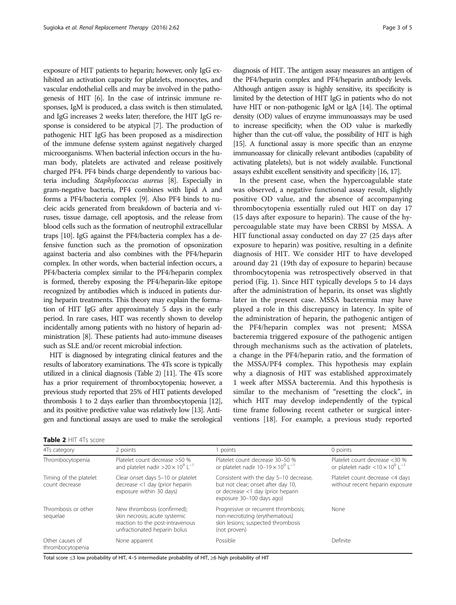exposure of HIT patients to heparin; however, only IgG exhibited an activation capacity for platelets, monocytes, and vascular endothelial cells and may be involved in the pathogenesis of HIT [\[6](#page-4-0)]. In the case of intrinsic immune responses, IgM is produced, a class switch is then stimulated, and IgG increases 2 weeks later; therefore, the HIT IgG response is considered to be atypical [\[7\]](#page-4-0). The production of pathogenic HIT IgG has been proposed as a misdirection of the immune defense system against negatively charged microorganisms. When bacterial infection occurs in the human body, platelets are activated and release positively charged PF4. PF4 binds charge dependently to various bacteria including Staphylococcus aureus [[8](#page-4-0)]. Especially in gram-negative bacteria, PF4 combines with lipid A and forms a PF4/bacteria complex [\[9\]](#page-4-0). Also PF4 binds to nucleic acids generated from breakdown of bacteria and viruses, tissue damage, cell apoptosis, and the release from blood cells such as the formation of neutrophil extracellular traps [\[10\]](#page-4-0). IgG against the PF4/bacteria complex has a defensive function such as the promotion of opsonization against bacteria and also combines with the PF4/heparin complex. In other words, when bacterial infection occurs, a PF4/bacteria complex similar to the PF4/heparin complex is formed, thereby exposing the PF4/heparin-like epitope recognized by antibodies which is induced in patients during heparin treatments. This theory may explain the formation of HIT IgG after approximately 5 days in the early period. In rare cases, HIT was recently shown to develop incidentally among patients with no history of heparin administration [[8\]](#page-4-0). These patients had auto-immune diseases such as SLE and/or recent microbial infection.

HIT is diagnosed by integrating clinical features and the results of laboratory examinations. The 4Ts score is typically utilized in a clinical diagnosis (Table 2) [[11](#page-4-0)]. The 4Ts score has a prior requirement of thrombocytopenia; however, a previous study reported that 25% of HIT patients developed thrombosis 1 to 2 days earlier than thrombocytopenia [\[12\]](#page-4-0), and its positive predictive value was relatively low [\[13](#page-4-0)]. Antigen and functional assays are used to make the serological

| Page 3 of 5 |  |  |
|-------------|--|--|
|             |  |  |

diagnosis of HIT. The antigen assay measures an antigen of the PF4/heparin complex and PF4/heparin antibody levels. Although antigen assay is highly sensitive, its specificity is limited by the detection of HIT IgG in patients who do not have HIT or non-pathogenic IgM or IgA [\[14](#page-4-0)]. The optimal density (OD) values of enzyme immunoassays may be used to increase specificity; when the OD value is markedly higher than the cut-off value, the possibility of HIT is high [[15\]](#page-4-0). A functional assay is more specific than an enzyme immunoassay for clinically relevant antibodies (capability of activating platelets), but is not widely available. Functional assays exhibit excellent sensitivity and specificity [\[16](#page-4-0), [17](#page-4-0)].

In the present case, when the hypercoagulable state was observed, a negative functional assay result, slightly positive OD value, and the absence of accompanying thrombocytopenia essentially ruled out HIT on day 17 (15 days after exposure to heparin). The cause of the hypercoagulable state may have been CRBSI by MSSA. A HIT functional assay conducted on day 27 (25 days after exposure to heparin) was positive, resulting in a definite diagnosis of HIT. We consider HIT to have developed around day 21 (19th day of exposure to heparin) because thrombocytopenia was retrospectively observed in that period (Fig. [1\)](#page-3-0). Since HIT typically develops 5 to 14 days after the administration of heparin, its onset was slightly later in the present case. MSSA bacteremia may have played a role in this discrepancy in latency. In spite of the administration of heparin, the pathogenic antigen of the PF4/heparin complex was not present; MSSA bacteremia triggered exposure of the pathogenic antigen through mechanisms such as the activation of platelets, a change in the PF4/heparin ratio, and the formation of the MSSA/PF4 complex. This hypothesis may explain why a diagnosis of HIT was established approximately 1 week after MSSA bacteremia. And this hypothesis is similar to the mechanism of "resetting the clock", in which HIT may develop independently of the typical time frame following recent catheter or surgical interventions [\[18](#page-4-0)]. For example, a previous study reported

|  | <b>Table 2 HIT 4Ts score</b> |  |  |
|--|------------------------------|--|--|
|--|------------------------------|--|--|

| 4Ts category                             | 2 points                                                                                                                         | 1 points                                                                                                                                       | 0 points                                                                              |
|------------------------------------------|----------------------------------------------------------------------------------------------------------------------------------|------------------------------------------------------------------------------------------------------------------------------------------------|---------------------------------------------------------------------------------------|
| Thrombocytopenia                         | Platelet count decrease >50 %<br>and platelet nadir $>20 \times 10^9$ L <sup>-1</sup>                                            | Platelet count decrease 30-50 %<br>or platelet nadir $10-19 \times 10^9$ L <sup>-1</sup>                                                       | Platelet count decrease <30 %<br>or platelet nadir < $10 \times 10^9$ L <sup>-1</sup> |
| Timing of the platelet<br>count decrease | Clear onset days 5-10 or platelet<br>decrease <1 day (prior heparin<br>exposure within 30 days)                                  | Consistent with the day 5-10 decrease,<br>but not clear; onset after day 10,<br>or decrease <1 day (prior heparin<br>exposure 30-100 days ago) | Platelet count decrease <4 days<br>without recent heparin exposure                    |
| Thrombosis or other<br>sequelae          | New thrombosis (confirmed);<br>skin necrosis; acute systemic<br>reaction to the post-intravenous<br>unfractionated heparin bolus | Progressive or recurrent thrombosis;<br>non-necrotizing (erythematous)<br>skin lesions; suspected thrombosis<br>(not proven)                   | None                                                                                  |
| Other causes of<br>thrombocytopenia      | None apparent                                                                                                                    | Possible                                                                                                                                       | Definite                                                                              |

Total score ≤3 low probability of HIT, 4–5 intermediate probability of HIT, ≥6 high probability of HIT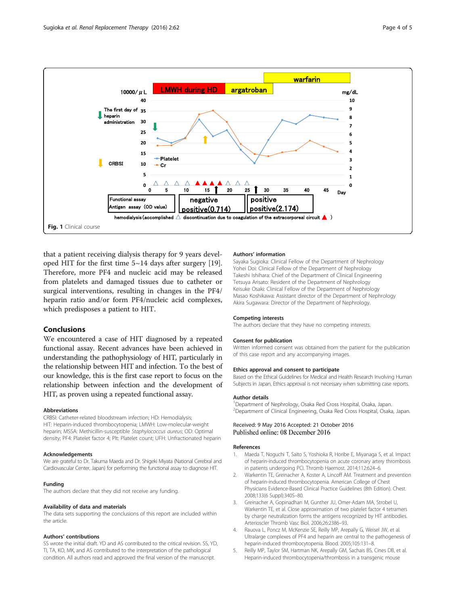<span id="page-3-0"></span>

that a patient receiving dialysis therapy for 9 years developed HIT for the first time 5~14 days after surgery [\[19](#page-4-0)]. Therefore, more PF4 and nucleic acid may be released from platelets and damaged tissues due to catheter or surgical interventions, resulting in changes in the PF4/ heparin ratio and/or form PF4/nucleic acid complexes, which predisposes a patient to HIT.

# Conclusions

We encountered a case of HIT diagnosed by a repeated functional assay. Recent advances have been achieved in understanding the pathophysiology of HIT, particularly in the relationship between HIT and infection. To the best of our knowledge, this is the first case report to focus on the relationship between infection and the development of HIT, as proven using a repeated functional assay.

## Abbreviations

CRBSI: Catheter-related bloodstream infection; HD: Hemodialysis; HIT: Heparin-induced thrombocytopenia; LMWH: Low-molecular-weight heparin; MSSA: Methicillin-susceptible Staphylococcus aureus; OD: Optimal density; PF4: Platelet factor 4; Plt: Platelet count; UFH: Unfractionated heparin

#### Acknowledgements

We are grateful to Dr. Takuma Maeda and Dr. Shigeki Miyata (National Cerebral and Cardiovascular Center, Japan) for performing the functional assay to diagnose HIT.

#### Funding

The authors declare that they did not receive any funding.

#### Availability of data and materials

The data sets supporting the conclusions of this report are included within the article.

## Authors' contributions

SS wrote the initial draft. YD and AS contributed to the critical revision. SS, YD, TI, TA, KO, MK, and AS contributed to the interpretation of the pathological condition. All authors read and approved the final version of the manuscript.

### Authors' information

Sayaka Sugioka: Clinical Fellow of the Department of Nephrology Yohei Doi: Clinical Fellow of the Department of Nephrology Takeshi Ishihara: Chief of the Department of Clinical Engineering Tetsuya Arisato: Resident of the Department of Nephrology Keisuke Osaki: Clinical Fellow of the Department of Nephrology Masao Koshikawa: Assistant director of the Department of Nephrology Akira Sugawara: Director of the Department of Nephrology.

#### Competing interests

The authors declare that they have no competing interests.

#### Consent for publication

Written informed consent was obtained from the patient for the publication of this case report and any accompanying images.

#### Ethics approval and consent to participate

Based on the Ethical Guidelines for Medical and Health Research Involving Human Subjects in Japan, Ethics approval is not necessary when submitting case reports.

#### Author details

<sup>1</sup> Department of Nephrology, Osaka Red Cross Hospital, Osaka, Japan. 2 Department of Clinical Engineering, Osaka Red Cross Hospital, Osaka, Japan.

## Received: 9 May 2016 Accepted: 21 October 2016 Published online: 08 December 2016

#### References

- 1. Maeda T, Noguchi T, Saito S, Yoshioka R, Horibe E, Miyanaga S, et al. Impact of heparin-induced thrombocytopenia on acute coronary artery thrombosis in patients undergoing PCI. Thromb Haemost. 2014;112:624–6.
- 2. Warkentin TE, Greinacher A, Koster A, Lincoff AM. Treatment and prevention of heparin-induced thrombocytopenia. American College of Chest Physicians Evidence-Based Clinical Practice Guidelines (8th Edition). Chest. 2008;133(6 Suppl):340S–80.
- 3. Greinacher A, Gopinadhan M, Gunther JU, Omer-Adam MA, Strobel U, Warkentin TE, et al. Close approximation of two platelet factor 4 tetramers by charge neutralization forms the antigens recognized by HIT antibodies. Arterioscler Thromb Vasc Biol. 2006;26:2386–93.
- 4. Rauova L, Poncz M, McKenzie SE, Reilly MP, Arepally G, Weisel JW, et al. Ultralarge complexes of PF4 and heparin are central to the pathogenesis of heparin-induced thrombocytopenia. Blood. 2005;105:131–8.
- 5. Reilly MP, Taylor SM, Hartman NK, Arepally GM, Sachais BS, Cines DB, et al. Heparin-induced thrombocytopenia/thrombosis in a transgenic mouse